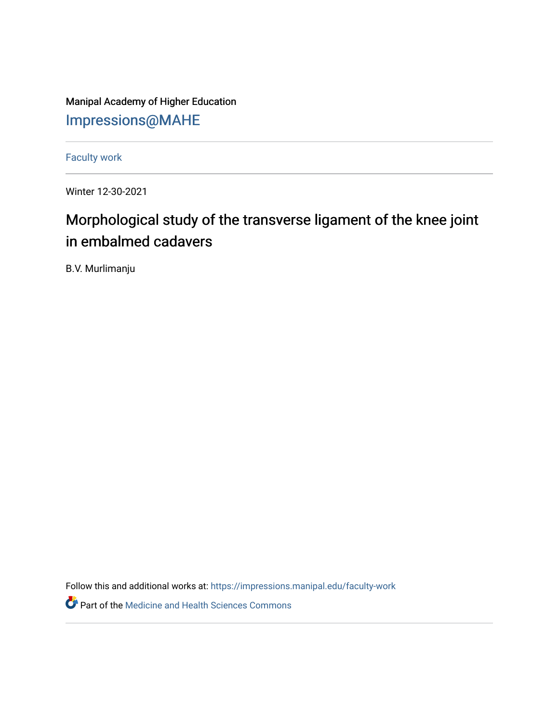Manipal Academy of Higher Education [Impressions@MAHE](https://impressions.manipal.edu/)

[Faculty work](https://impressions.manipal.edu/faculty-work) 

Winter 12-30-2021

## Morphological study of the transverse ligament of the knee joint in embalmed cadavers

B.V. Murlimanju

Follow this and additional works at: [https://impressions.manipal.edu/faculty-work](https://impressions.manipal.edu/faculty-work?utm_source=impressions.manipal.edu%2Ffaculty-work%2F96&utm_medium=PDF&utm_campaign=PDFCoverPages) 

Part of the [Medicine and Health Sciences Commons](http://network.bepress.com/hgg/discipline/648?utm_source=impressions.manipal.edu%2Ffaculty-work%2F96&utm_medium=PDF&utm_campaign=PDFCoverPages)